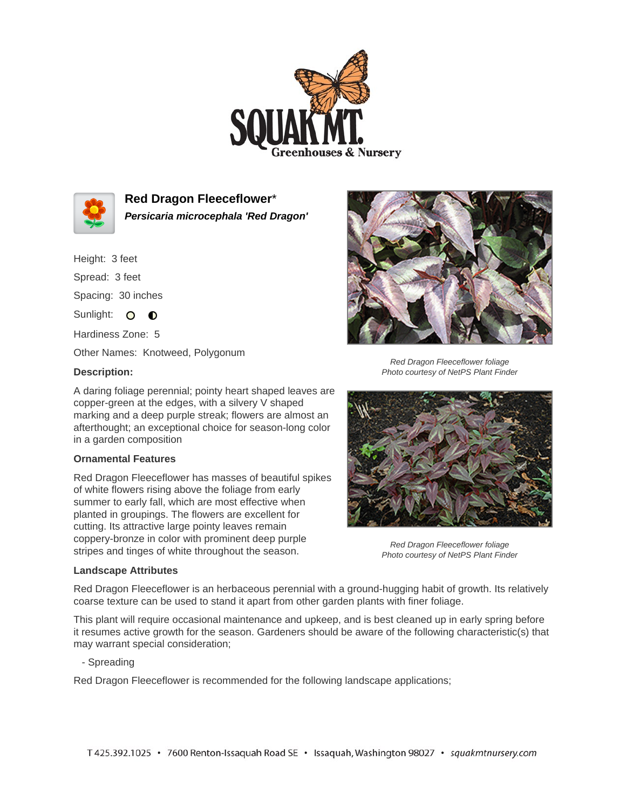



**Red Dragon Fleeceflower**\* **Persicaria microcephala 'Red Dragon'**

Height: 3 feet

Spread: 3 feet

Spacing: 30 inches

Sunlight: O **O** 

Hardiness Zone: 5

Other Names: Knotweed, Polygonum

## **Description:**

A daring foliage perennial; pointy heart shaped leaves are copper-green at the edges, with a silvery V shaped marking and a deep purple streak; flowers are almost an afterthought; an exceptional choice for season-long color in a garden composition

## **Ornamental Features**

Red Dragon Fleeceflower has masses of beautiful spikes of white flowers rising above the foliage from early summer to early fall, which are most effective when planted in groupings. The flowers are excellent for cutting. Its attractive large pointy leaves remain coppery-bronze in color with prominent deep purple stripes and tinges of white throughout the season.



Red Dragon Fleeceflower foliage Photo courtesy of NetPS Plant Finder



Red Dragon Fleeceflower foliage Photo courtesy of NetPS Plant Finder

## **Landscape Attributes**

Red Dragon Fleeceflower is an herbaceous perennial with a ground-hugging habit of growth. Its relatively coarse texture can be used to stand it apart from other garden plants with finer foliage.

This plant will require occasional maintenance and upkeep, and is best cleaned up in early spring before it resumes active growth for the season. Gardeners should be aware of the following characteristic(s) that may warrant special consideration;

- Spreading

Red Dragon Fleeceflower is recommended for the following landscape applications;